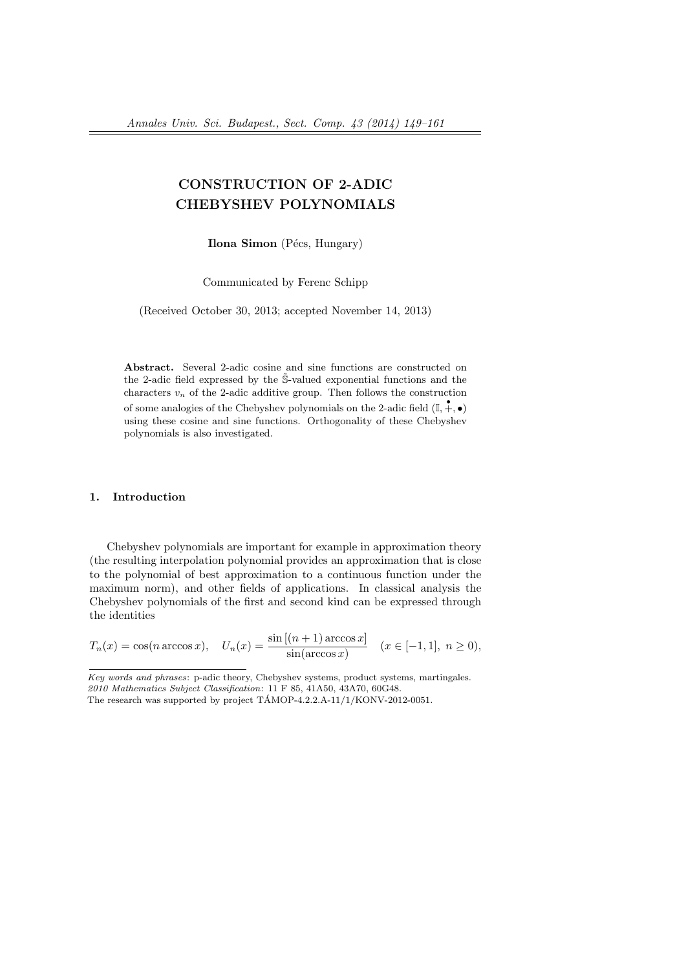# CONSTRUCTION OF 2-ADIC CHEBYSHEV POLYNOMIALS

Ilona Simon (Pécs, Hungary)

Communicated by Ferenc Schipp

(Received October 30, 2013; accepted November 14, 2013)

Abstract. Several 2-adic cosine and sine functions are constructed on the 2-adic field expressed by the  $\tilde{\mathbb{S}}$ -valued exponential functions and the characters  $v_n$  of the 2-adic additive group. Then follows the construction of some analogies of the Chebyshev polynomials on the 2-adic field  $(\mathbb{I}, +, \bullet)$ using these cosine and sine functions. Orthogonality of these Chebyshev polynomials is also investigated.

## 1. Introduction

Chebyshev polynomials are important for example in approximation theory (the resulting interpolation polynomial provides an approximation that is close to the polynomial of best approximation to a continuous function under the maximum norm), and other fields of applications. In classical analysis the Chebyshev polynomials of the first and second kind can be expressed through the identities

$$
T_n(x) = \cos(n \arccos x), \quad U_n(x) = \frac{\sin[(n+1)\arccos x]}{\sin(\arccos x)} \quad (x \in [-1, 1], \ n \ge 0),
$$

Key words and phrases: p-adic theory, Chebyshev systems, product systems, martingales. 2010 Mathematics Subject Classification: 11 F 85, 41A50, 43A70, 60G48.

The research was supported by project  $TAMOP-4.2.2.A-11/1/KONV-2012-0051$ .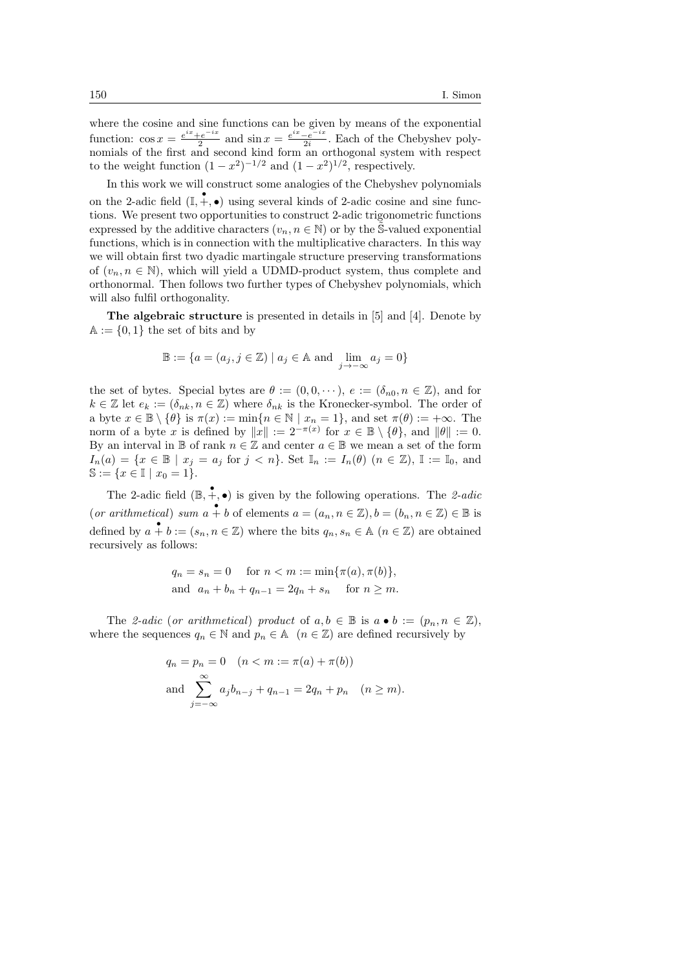where the cosine and sine functions can be given by means of the exponential function:  $\cos x = \frac{e^{ix} + e^{-ix}}{2}$  $\frac{e^{-ix}}{2}$  and  $\sin x = \frac{e^{ix} - e^{-ix}}{2i}$  $\frac{-e^{-ix}}{2i}$ . Each of the Chebyshev polynomials of the first and second kind form an orthogonal system with respect to the weight function  $(1-x^2)^{-1/2}$  and  $(1-x^2)^{1/2}$ , respectively.

In this work we will construct some analogies of the Chebyshev polynomials on the 2-adic field  $(\mathbb{I}, +, \bullet)$  using several kinds of 2-adic cosine and sine functions. We present two opportunities to construct 2-adic trigonometric functions expressed by the additive characters ( $v_n, n \in \mathbb{N}$ ) or by the S-valued exponential functions, which is in connection with the multiplicative characters. In this way we will obtain first two dyadic martingale structure preserving transformations of  $(v_n, n \in \mathbb{N})$ , which will yield a UDMD-product system, thus complete and orthonormal. Then follows two further types of Chebyshev polynomials, which will also fulfil orthogonality.

The algebraic structure is presented in details in [5] and [4]. Denote by  $A := \{0, 1\}$  the set of bits and by

$$
\mathbb{B} := \{ a = (a_j, j \in \mathbb{Z}) \mid a_j \in \mathbb{A} \text{ and } \lim_{j \to -\infty} a_j = 0 \}
$$

the set of bytes. Special bytes are  $\theta := (0, 0, \dots), e := (\delta_{n0}, n \in \mathbb{Z})$ , and for  $k \in \mathbb{Z}$  let  $e_k := (\delta_{nk}, n \in \mathbb{Z})$  where  $\delta_{nk}$  is the Kronecker-symbol. The order of a byte  $x \in \mathbb{B} \setminus \{\theta\}$  is  $\pi(x) := \min\{n \in \mathbb{N} \mid x_n = 1\}$ , and set  $\pi(\theta) := +\infty$ . The norm of a byte x is defined by  $||x|| := 2^{-\pi(x)}$  for  $x \in \mathbb{B} \setminus \{\theta\}$ , and  $||\theta|| := 0$ . By an interval in B of rank  $n \in \mathbb{Z}$  and center  $a \in \mathbb{B}$  we mean a set of the form  $I_n(a) = \{x \in \mathbb{B} \mid x_i = a_i \text{ for } j < n\}.$  Set  $\mathbb{I}_n := I_n(\theta)$   $(n \in \mathbb{Z}), \mathbb{I} := \mathbb{I}_0$ , and  $\mathbb{S} := \{x \in \mathbb{I} \mid x_0 = 1\}.$ 

The 2-adic field  $(\mathbb{B}, +, \bullet)$  is given by the following operations. The 2-adic (or arithmetical) sum  $a + b$  of elements  $a = (a_n, n \in \mathbb{Z}), b = (b_n, n \in \mathbb{Z}) \in \mathbb{B}$  is defined by  $a + b := (s_n, n \in \mathbb{Z})$  where the bits  $q_n, s_n \in \mathbb{A}$   $(n \in \mathbb{Z})$  are obtained recursively as follows:

$$
q_n = s_n = 0
$$
 for  $n < m := \min{\pi(a), \pi(b)},$   
and  $a_n + b_n + q_{n-1} = 2q_n + s_n$  for  $n \ge m$ .

The 2-adic (or arithmetical) product of  $a, b \in \mathbb{B}$  is  $a \bullet b := (p_n, n \in \mathbb{Z}),$ where the sequences  $q_n \in \mathbb{N}$  and  $p_n \in \mathbb{A}$   $(n \in \mathbb{Z})$  are defined recursively by

$$
q_n = p_n = 0
$$
  $(n < m := \pi(a) + \pi(b))$   
and  $\sum_{j=-\infty}^{\infty} a_j b_{n-j} + q_{n-1} = 2q_n + p_n$   $(n \ge m).$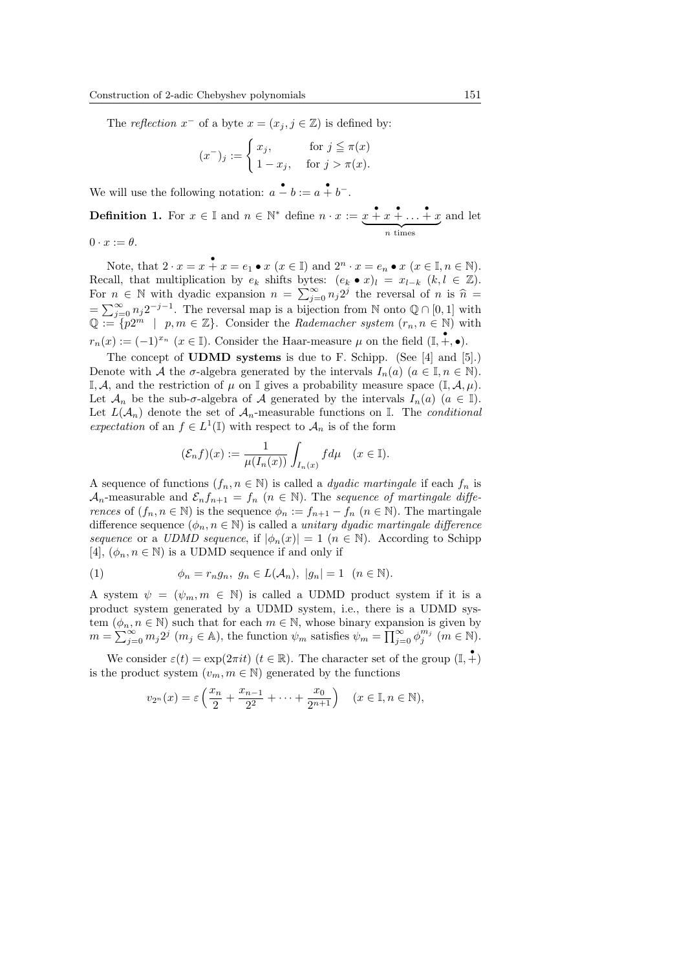The reflection  $x^-$  of a byte  $x = (x_j, j \in \mathbb{Z})$  is defined by:

$$
(x^-)_j := \begin{cases} x_j, & \text{for } j \leq \pi(x) \\ 1 - x_j, & \text{for } j > \pi(x). \end{cases}
$$

We will use the following notation:  $a - b := a + b^{-}$ .

**Definition 1.** For  $x \in \mathbb{I}$  and  $n \in \mathbb{N}^*$  define  $n \cdot x := x + x + \ldots + x$  $\overbrace{n \text{ times}}$ and let

 $0 \cdot x := \theta$ .

Note, that  $2 \cdot x = x + x = e_1 \bullet x \ (x \in \mathbb{I})$  and  $2^n \cdot x = e_n \bullet x \ (x \in \mathbb{I}, n \in \mathbb{N})$ . Recall, that multiplication by  $e_k$  shifts bytes:  $(e_k \bullet x)_l = x_{l-k}$   $(k, l \in \mathbb{Z})$ . For  $n \in \mathbb{N}$  with dyadic expansion  $n = \sum_{j=0}^{\infty} n_j 2^j$  the reversal of n is  $\hat{n} =$  $=\sum_{j=0}^{\infty} n_j 2^{-j-1}$ . The reversal map is a bijection from N onto  $\mathbb{Q} \cap [0,1]$  with  $\mathbb{Q} := \{p2^m \mid p, m \in \mathbb{Z}\}.$  Consider the Rademacher system  $(r_n, n \in \mathbb{N})$  with  $r_n(x) := (-1)^{x_n}$   $(x \in \mathbb{I})$ . Consider the Haar-measure  $\mu$  on the field  $(\mathbb{I}, +, \bullet)$ .

The concept of UDMD systems is due to F. Schipp. (See [4] and [5].) Denote with A the  $\sigma$ -algebra generated by the intervals  $I_n(a)$   $(a \in \mathbb{I}, n \in \mathbb{N})$ . I, A, and the restriction of  $\mu$  on I gives a probability measure space  $(I, \mathcal{A}, \mu)$ . Let  $\mathcal{A}_n$  be the sub- $\sigma$ -algebra of  $\mathcal A$  generated by the intervals  $I_n(a)$   $(a \in \mathbb I)$ . Let  $L(\mathcal{A}_n)$  denote the set of  $\mathcal{A}_n$ -measurable functions on I. The *conditional* expectation of an  $f \in L^1(\mathbb{I})$  with respect to  $\mathcal{A}_n$  is of the form

$$
(\mathcal{E}_n f)(x) := \frac{1}{\mu(I_n(x))} \int_{I_n(x)} f d\mu \quad (x \in \mathbb{I}).
$$

A sequence of functions  $(f_n, n \in \mathbb{N})$  is called a *dyadic martingale* if each  $f_n$  is  $\mathcal{A}_n$ -measurable and  $\mathcal{E}_n f_{n+1} = f_n$   $(n \in \mathbb{N})$ . The sequence of martingale differences of  $(f_n, n \in \mathbb{N})$  is the sequence  $\phi_n := f_{n+1} - f_n$   $(n \in \mathbb{N})$ . The martingale difference sequence  $(\phi_n, n \in \mathbb{N})$  is called a unitary dyadic martingale difference sequence or a UDMD sequence, if  $|\phi_n(x)| = 1$   $(n \in \mathbb{N})$ . According to Schipp [4],  $(\phi_n, n \in \mathbb{N})$  is a UDMD sequence if and only if

(1) 
$$
\phi_n = r_n g_n, \ g_n \in L(\mathcal{A}_n), \ |g_n| = 1 \ (n \in \mathbb{N}).
$$

A system  $\psi = (\psi_m, m \in \mathbb{N})$  is called a UDMD product system if it is a product system generated by a UDMD system, i.e., there is a UDMD system  $(\phi_n, n \in \mathbb{N})$  such that for each  $m \in \mathbb{N}$ , whose binary expansion is given by  $m = \sum_{j=0}^{\infty} m_j 2^j \ (m_j \in A)$ , the function  $\psi_m$  satisfies  $\psi_m = \prod_{j=0}^{\infty} \phi_j^{m_j} \ (m \in \mathbb{N})$ .

We consider  $\varepsilon(t) = \exp(2\pi i t)$   $(t \in \mathbb{R})$ . The character set of the group  $(\mathbb{I}, \stackrel{\bullet}{+})$ is the product system  $(v_m, m \in \mathbb{N})$  generated by the functions

$$
v_{2^n}(x) = \varepsilon \left( \frac{x_n}{2} + \frac{x_{n-1}}{2^2} + \dots + \frac{x_0}{2^{n+1}} \right) \quad (x \in \mathbb{I}, n \in \mathbb{N}),
$$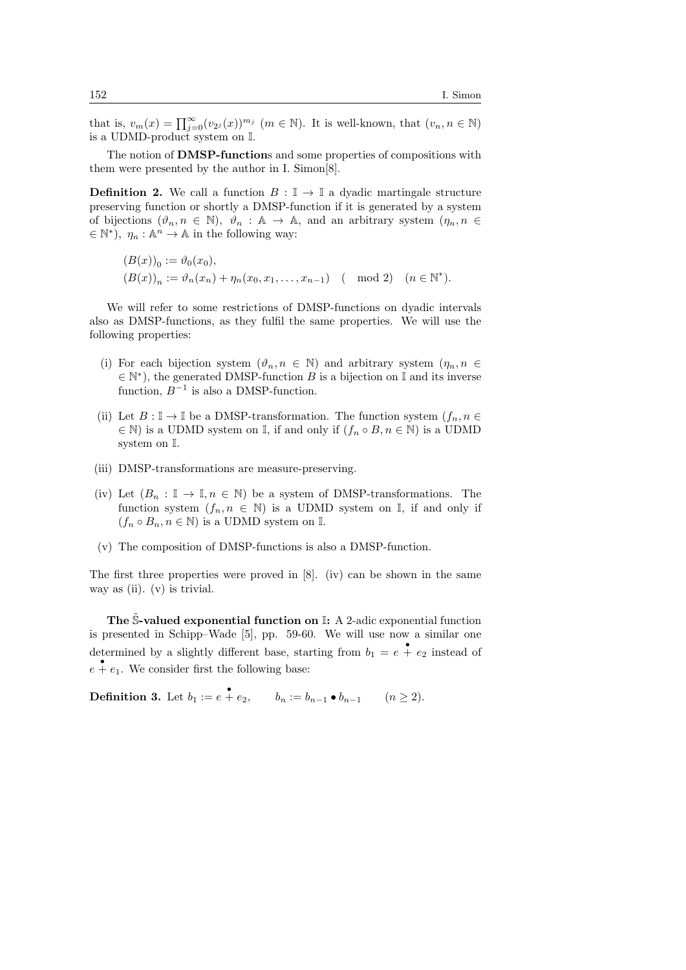that is,  $v_m(x) = \prod_{j=0}^{\infty} (v_{2^j}(x))^{m_j}$   $(m \in \mathbb{N})$ . It is well-known, that  $(v_n, n \in \mathbb{N})$ is a UDMD-product system on I.

The notion of **DMSP-functions** and some properties of compositions with them were presented by the author in I. Simon[8].

**Definition 2.** We call a function  $B : \mathbb{I} \to \mathbb{I}$  a dyadic martingale structure preserving function or shortly a DMSP-function if it is generated by a system of bijections  $(\vartheta_n, n \in \mathbb{N})$ ,  $\vartheta_n : \mathbb{A} \to \mathbb{A}$ , and an arbitrary system  $(\eta_n, n \in \mathbb{N})$  $\in \mathbb{N}^*$ ,  $\eta_n : \mathbb{A}^n \to \mathbb{A}$  in the following way:

$$
(B(x))_0 := \vartheta_0(x_0),
$$
  
\n
$$
(B(x))_n := \vartheta_n(x_n) + \eta_n(x_0, x_1, \dots, x_{n-1}) \pmod{2} \quad (n \in \mathbb{N}^*).
$$

We will refer to some restrictions of DMSP-functions on dyadic intervals also as DMSP-functions, as they fulfil the same properties. We will use the following properties:

- (i) For each bijection system  $(\vartheta_n, n \in \mathbb{N})$  and arbitrary system  $(\eta_n, n \in \mathbb{N})$  $\in \mathbb{N}^*$ , the generated DMSP-function B is a bijection on I and its inverse function,  $B^{-1}$  is also a DMSP-function.
- (ii) Let  $B: \mathbb{I} \to \mathbb{I}$  be a DMSP-transformation. The function system  $(f_n, n \in$  $\in \mathbb{N}$ ) is a UDMD system on I, if and only if  $(f_n \circ B, n \in \mathbb{N})$  is a UDMD system on I.
- (iii) DMSP-transformations are measure-preserving.
- (iv) Let  $(B_n : \mathbb{I} \to \mathbb{I}, n \in \mathbb{N})$  be a system of DMSP-transformations. The function system  $(f_n, n \in \mathbb{N})$  is a UDMD system on I, if and only if  $(f_n \circ B_n, n \in \mathbb{N})$  is a UDMD system on I.
- (v) The composition of DMSP-functions is also a DMSP-function.

The first three properties were proved in [8]. (iv) can be shown in the same way as (ii). (v) is trivial.

The S-valued exponential function on  $\mathbb{I}: A$  2-adic exponential function is presented in Schipp–Wade [5], pp. 59-60. We will use now a similar one determined by a slightly different base, starting from  $b_1 = e + e_2$  instead of  $e + e_1$ . We consider first the following base:

**Definition 3.** Let  $b_1 := e + e_2$ ,  $b_n := b_{n-1} \bullet b_{n-1}$   $(n \ge 2)$ .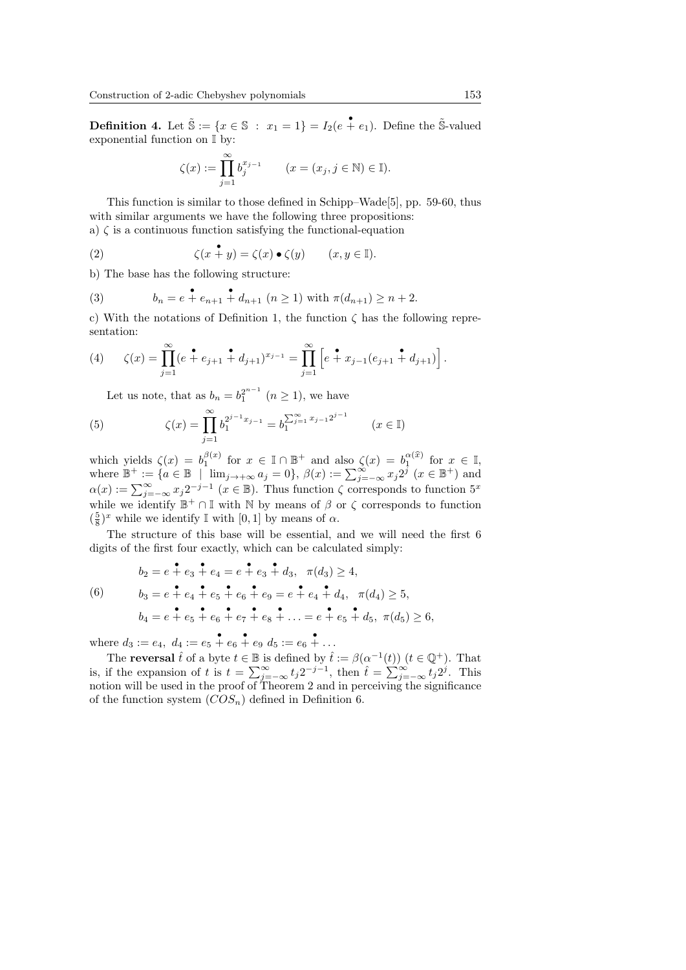**Definition 4.** Let  $\tilde{\mathbb{S}} := \{x \in \mathbb{S} : x_1 = 1\} = I_2(e + e_1)$ . Define the  $\tilde{\mathbb{S}}$ -valued exponential function on I by:

$$
\zeta(x) := \prod_{j=1}^{\infty} b_j^{x_{j-1}} \qquad (x = (x_j, j \in \mathbb{N}) \in \mathbb{I}).
$$

This function is similar to those defined in Schipp–Wade[5], pp. 59-60, thus with similar arguments we have the following three propositions: a)  $\zeta$  is a continuous function satisfying the functional-equation

(2) 
$$
\zeta(x \overset{\bullet}{+} y) = \zeta(x) \bullet \zeta(y) \qquad (x, y \in \mathbb{I}).
$$

b) The base has the following structure:

(3) 
$$
b_n = e + e_{n+1} + d_{n+1} \ (n \ge 1) \text{ with } \pi(d_{n+1}) \ge n+2.
$$

c) With the notations of Definition 1, the function  $\zeta$  has the following representation:

(4) 
$$
\zeta(x) = \prod_{j=1}^{\infty} (e^{\bullet} + e_{j+1} + d_{j+1})^{x_{j-1}} = \prod_{j=1}^{\infty} \left[ e^{\bullet} + x_{j-1}(e_{j+1} + d_{j+1}) \right].
$$

Let us note, that as  $b_n = b_1^{2^{n-1}}$   $(n \ge 1)$ , we have

(5) 
$$
\zeta(x) = \prod_{j=1}^{\infty} b_1^{2^{j-1}x_{j-1}} = b_1^{\sum_{j=1}^{\infty} x_{j-1} 2^{j-1}} \qquad (x \in \mathbb{I})
$$

which yields  $\zeta(x) = b_1^{\beta(x)}$  for  $x \in \mathbb{I} \cap \mathbb{B}^+$  and also  $\zeta(x) = b_1^{\alpha(\widehat{x})}$  for  $x \in \mathbb{I}$ , where  $\mathbb{B}^+ := \{ a \in \mathbb{B} \mid \lim_{j \to +\infty} a_j = 0 \}, \ \beta(x) := \sum_{j=-\infty}^{\infty} x_j 2^j \ (x \in \mathbb{B}^+) \text{ and}$  $\alpha(x) := \sum_{j=-\infty}^{\infty} x_j 2^{-j-1}$   $(x \in \mathbb{B})$ . Thus function  $\zeta$  corresponds to function  $5^x$ while we identify  $\mathbb{B}^+ \cap \mathbb{I}$  with  $\mathbb N$  by means of  $\beta$  or  $\zeta$  corresponds to function  $(\frac{5}{8})^x$  while we identify I with [0, 1] by means of  $\alpha$ .

The structure of this base will be essential, and we will need the first 6 digits of the first four exactly, which can be calculated simply:

(6) 
$$
b_2 = e + e_3 + e_4 = e + e_3 + d_3, \quad \pi(d_3) \ge 4,
$$

$$
b_3 = e + e_4 + e_5 + e_6 + e_9 = e + e_4 + d_4, \quad \pi(d_4) \ge 5,
$$

$$
b_4 = e + e_5 + e_6 + e_7 + e_8 + \dots = e + e_5 + d_5, \quad \pi(d_5) \ge 6,
$$

where  $d_3 := e_4, d_4 := e_5 + e_6 + e_9, d_5 := e_6 + \ldots$ 

The **reversal**  $\hat{t}$  of a byte  $t \in \mathbb{B}$  is defined by  $\hat{t} := \beta(\alpha^{-1}(t))$   $(t \in \mathbb{Q}^+)$ . That is, if the expansion of t is  $t = \sum_{j=-\infty}^{\infty} t_j 2^{-j-1}$ , then  $\hat{t} = \sum_{j=-\infty}^{\infty} t_j 2^j$ . This notion will be used in the proof of Theorem 2 and in perceiving the significance of the function system  $(COS_n)$  defined in Definition 6.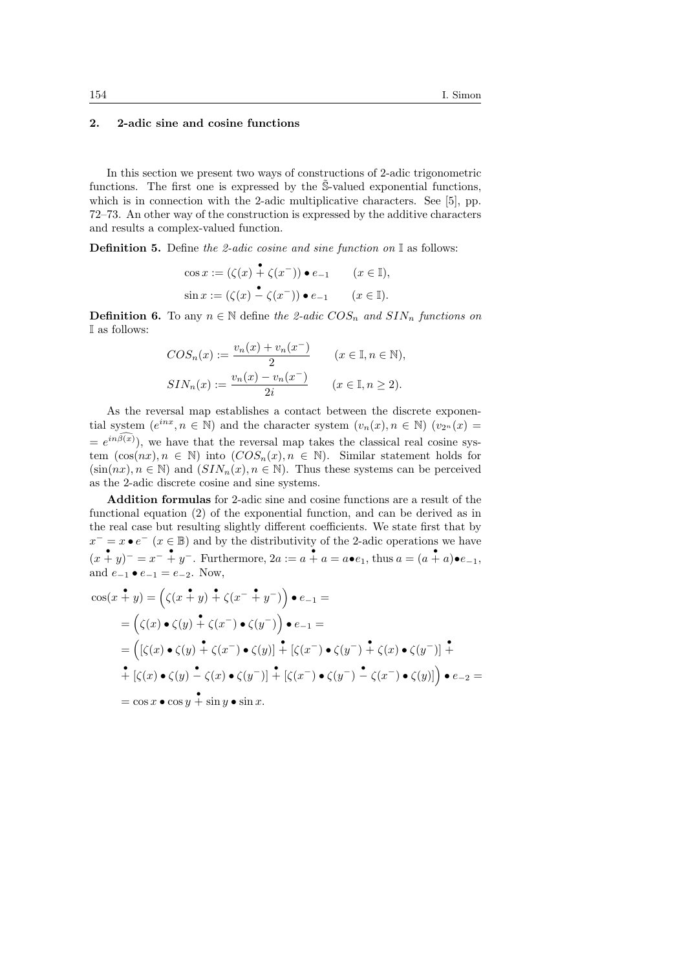## 2. 2-adic sine and cosine functions

In this section we present two ways of constructions of 2-adic trigonometric functions. The first one is expressed by the  $\tilde{S}$ -valued exponential functions, which is in connection with the 2-adic multiplicative characters. See [5], pp. 72–73. An other way of the construction is expressed by the additive characters and results a complex-valued function.

**Definition 5.** Define the 2-adic cosine and sine function on  $\mathbb{I}$  as follows:

$$
\cos x := (\zeta(x) \stackrel{\bullet}{+} \zeta(x^{-})) \bullet e_{-1} \qquad (x \in \mathbb{I}),
$$
  

$$
\sin x := (\zeta(x) \stackrel{\bullet}{-} \zeta(x^{-})) \bullet e_{-1} \qquad (x \in \mathbb{I}).
$$

**Definition 6.** To any  $n \in \mathbb{N}$  define the 2-adic  $COS_n$  and  $SIN_n$  functions on I as follows:

$$
COS_n(x) := \frac{v_n(x) + v_n(x^-)}{2} \qquad (x \in \mathbb{I}, n \in \mathbb{N}),
$$
  
\n
$$
SIN_n(x) := \frac{v_n(x) - v_n(x^-)}{2i} \qquad (x \in \mathbb{I}, n \ge 2).
$$

As the reversal map establishes a contact between the discrete exponential system  $(e^{inx}, n \in \mathbb{N})$  and the character system  $(v_n(x), n \in \mathbb{N})$   $(v_{2^n}(x) =$  $= e^{in\beta(x)}$ , we have that the reversal map takes the classical real cosine system  $(\cos(nx), n \in \mathbb{N})$  into  $(COS_n(x), n \in \mathbb{N})$ . Similar statement holds for  $(\sin(nx), n \in \mathbb{N})$  and  $(SIN_n(x), n \in \mathbb{N})$ . Thus these systems can be perceived as the 2-adic discrete cosine and sine systems.

Addition formulas for 2-adic sine and cosine functions are a result of the functional equation (2) of the exponential function, and can be derived as in the real case but resulting slightly different coefficients. We state first that by  $x^{-} = x \bullet e^{-}$  ( $x \in \mathbb{B}$ ) and by the distributivity of the 2-adic operations we have  $(x + y)^{-} = x^{-} + y^{-}$ . Furthermore,  $2a := a + a = a \bullet e_1$ , thus  $a = (a + a) \bullet e_{-1}$ , and  $e_{-1} \bullet e_{-1} = e_{-2}$ . Now,

$$
\cos(x \stackrel{\bullet}{+} y) = (\zeta(x \stackrel{\bullet}{+} y) \stackrel{\bullet}{+} \zeta(x^- \stackrel{\bullet}{+} y^-)) \bullet e_{-1} =
$$
\n
$$
= (\zeta(x) \bullet \zeta(y) \stackrel{\bullet}{+} \zeta(x^-) \bullet \zeta(y^-)) \bullet e_{-1} =
$$
\n
$$
= ([\zeta(x) \bullet \zeta(y) \stackrel{\bullet}{+} \zeta(x^-) \bullet \zeta(y)] \stackrel{\bullet}{+} [\zeta(x^-) \bullet \zeta(y^-) \stackrel{\bullet}{+} \zeta(x) \bullet \zeta(y^-)] \stackrel{\bullet}{+}
$$
\n
$$
\stackrel{\bullet}{+} [\zeta(x) \bullet \zeta(y) \stackrel{\bullet}{-} \zeta(x) \bullet \zeta(y^-)] \stackrel{\bullet}{+} [\zeta(x^-) \bullet \zeta(y^-) \stackrel{\bullet}{-} \zeta(x^-) \bullet \zeta(y)] \bullet e_{-2} =
$$
\n
$$
= \cos x \bullet \cos y \stackrel{\bullet}{+} \sin y \bullet \sin x.
$$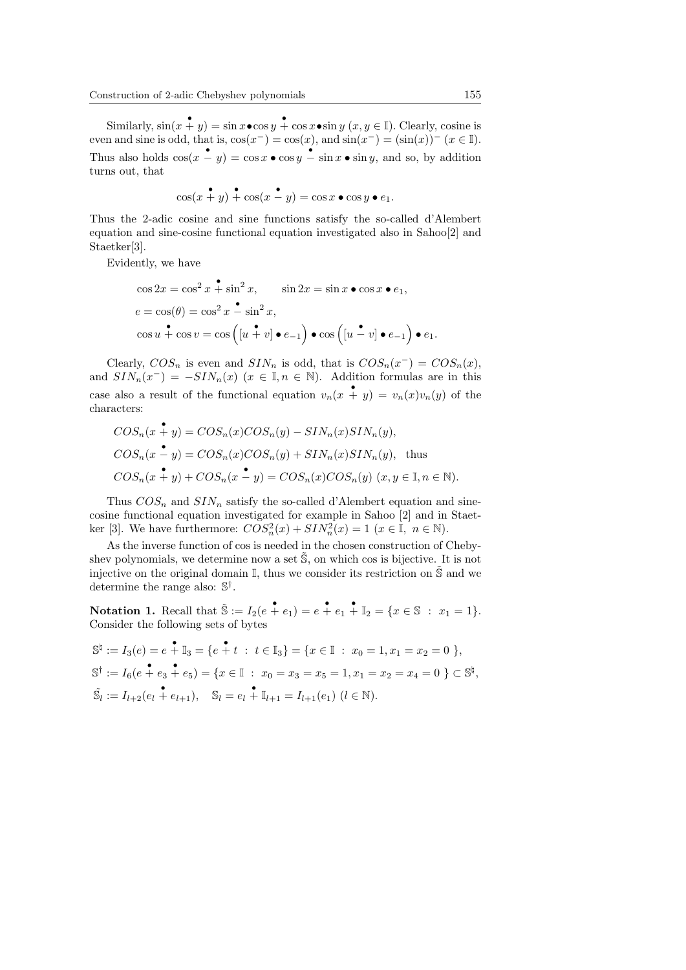Similarly,  $\sin(x + y) = \sin x \cdot \cos y + \cos x \cdot \sin y$   $(x, y \in \mathbb{I})$ . Clearly, cosine is even and sine is odd, that is,  $cos(x^-) = cos(x)$ , and  $sin(x^-) = (sin(x))^{-1}(x \in \mathbb{I})$ . Thus also holds  $\cos(x - y) = \cos x \cdot \cos y - \sin x \cdot \sin y$ , and so, by addition turns out, that

$$
\cos(x + y) + \cos(x - y) = \cos x \bullet \cos y \bullet e_1.
$$

Thus the 2-adic cosine and sine functions satisfy the so-called d'Alembert equation and sine-cosine functional equation investigated also in Sahoo[2] and Staetker[3].

Evidently, we have

$$
\cos 2x = \cos^2 x + \sin^2 x, \qquad \sin 2x = \sin x \bullet \cos x \bullet e_1,
$$
  
\n
$$
e = \cos(\theta) = \cos^2 x - \sin^2 x,
$$
  
\n
$$
\cos u + \cos v = \cos \left( [u + v] \bullet e_{-1} \right) \bullet \cos \left( [u - v] \bullet e_{-1} \right) \bullet e_1.
$$

Clearly,  $COS_n$  is even and  $SIN_n$  is odd, that is  $COS_n(x^-) = COS_n(x)$ , and  $SIN_n(x^-) = -SIN_n(x)$   $(x \in \mathbb{I}, n \in \mathbb{N})$ . Addition formulas are in this case also a result of the functional equation  $v_n(x + y) = v_n(x)v_n(y)$  of the characters:

$$
COS_n(x \stackrel{\bullet}{+} y) = COS_n(x) COS_n(y) - SIN_n(x) SIN_n(y),
$$
  
\n
$$
COS_n(x \stackrel{\bullet}{-} y) = COS_n(x) COS_n(y) + SIN_n(x) SIN_n(y),
$$
 thus  
\n
$$
COS_n(x \stackrel{\bullet}{+} y) + COS_n(x \stackrel{\bullet}{-} y) = COS_n(x) COS_n(y) \ (x, y \in \mathbb{I}, n \in \mathbb{N}).
$$

Thus  $COS_n$  and  $SIN_n$  satisfy the so-called d'Alembert equation and sinecosine functional equation investigated for example in Sahoo [2] and in Staetker [3]. We have furthermore:  $COS_n^2(x) + SIN_n^2(x) = 1$   $(x \in \mathbb{I}, n \in \mathbb{N})$ .

As the inverse function of cos is needed in the chosen construction of Chebyshev polynomials, we determine now a set  $\tilde{S}$ , on which cos is bijective. It is not injective on the original domain  $\mathbb{I}$ , thus we consider its restriction on  $\tilde{\mathbb{S}}$  and we determine the range also:  $\mathbb{S}^{\dagger}$ .

Notation 1. Recall that  $\tilde{\mathbb{S}} := I_2(e + e_1) = e + e_1 + \mathbb{I}_2 = \{x \in \mathbb{S} : x_1 = 1\}.$ Consider the following sets of bytes

$$
\mathbb{S}^{\natural} := I_3(e) = e + \mathbb{I}_3 = \{e + t : t \in \mathbb{I}_3\} = \{x \in \mathbb{I} : x_0 = 1, x_1 = x_2 = 0\},
$$
  

$$
\mathbb{S}^{\dagger} := I_6(e + e_3 + e_5) = \{x \in \mathbb{I} : x_0 = x_3 = x_5 = 1, x_1 = x_2 = x_4 = 0\} \subset \mathbb{S}^{\natural},
$$
  

$$
\tilde{\mathbb{S}}_l := I_{l+2}(e_l + e_{l+1}), \quad \mathbb{S}_l = e_l + \mathbb{I}_{l+1} = I_{l+1}(e_l) \ (l \in \mathbb{N}).
$$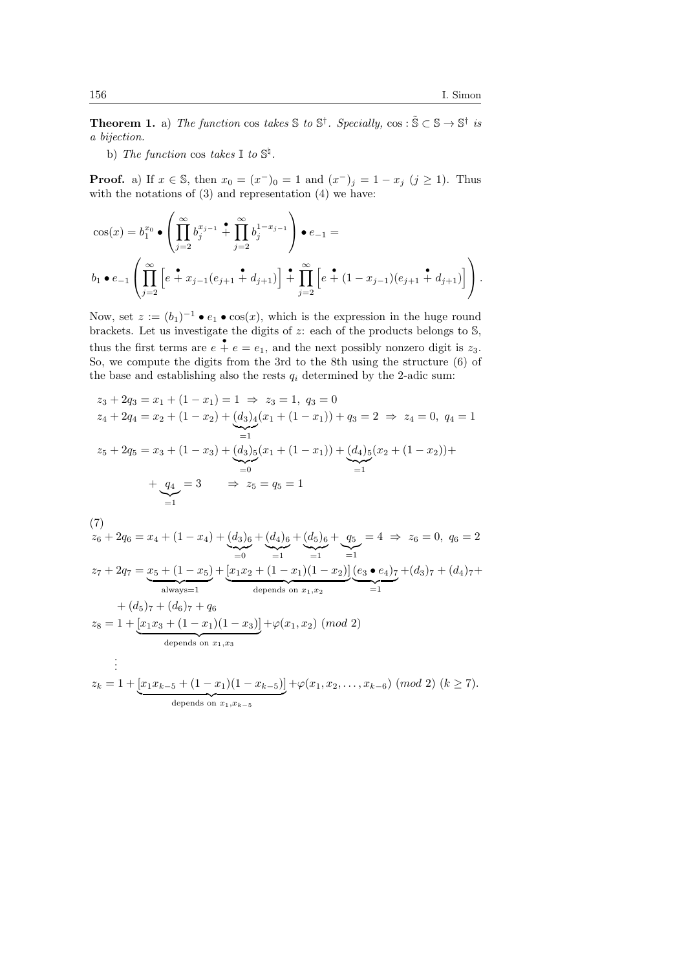**Theorem 1.** a) The function cos takes  $\mathbb{S}$  to  $\mathbb{S}^{\dagger}$ . Specially, cos:  $\tilde{\mathbb{S}} \subset \mathbb{S} \to \mathbb{S}^{\dagger}$  is a bijection.

b) The function cos takes  $\mathbb{I}$  to  $\mathbb{S}^{\natural}$ .

**Proof.** a) If  $x \in \mathbb{S}$ , then  $x_0 = (x^-)_0 = 1$  and  $(x^-)_j = 1 - x_j$   $(j \ge 1)$ . Thus with the notations of  $(3)$  and representation  $(4)$  we have:

$$
\cos(x) = b_1^{x_0} \bullet \left( \prod_{j=2}^{\infty} b_j^{x_{j-1}} + \prod_{j=2}^{\infty} b_j^{1-x_{j-1}} \right) \bullet e_{-1} =
$$
  

$$
b_1 \bullet e_{-1} \left( \prod_{j=2}^{\infty} \left[ e + x_{j-1} (e_{j+1} + d_{j+1}) \right] + \prod_{j=2}^{\infty} \left[ e + (1 - x_{j-1}) (e_{j+1} + d_{j+1}) \right] \right).
$$

Now, set  $z := (b_1)^{-1} \bullet e_1 \bullet \cos(x)$ , which is the expression in the huge round brackets. Let us investigate the digits of  $z$ : each of the products belongs to  $\mathbb{S}$ , thus the first terms are  $e + e = e_1$ , and the next possibly nonzero digit is  $z_3$ . So, we compute the digits from the 3rd to the 8th using the structure (6) of the base and establishing also the rests  $q_i$  determined by the 2-adic sum:

$$
z_3 + 2q_3 = x_1 + (1 - x_1) = 1 \implies z_3 = 1, q_3 = 0
$$
  
\n
$$
z_4 + 2q_4 = x_2 + (1 - x_2) + (d_3)_4(x_1 + (1 - x_1)) + q_3 = 2 \implies z_4 = 0, q_4 = 1
$$
  
\n
$$
z_5 + 2q_5 = x_3 + (1 - x_3) + (d_3)_5(x_1 + (1 - x_1)) + (d_4)_5(x_2 + (1 - x_2)) +
$$
  
\n
$$
+ q_4 = 3 \implies z_5 = q_5 = 1
$$

(7)

$$
z_6 + 2q_6 = x_4 + (1 - x_4) + (d_3)_6 + (d_4)_6 + (d_5)_6 + (g_5 - 4) \Rightarrow z_6 = 0, q_6 = 2
$$
  
\n
$$
z_7 + 2q_7 = x_5 + (1 - x_5) + [x_1x_2 + (1 - x_1)(1 - x_2)](e_3 \bullet e_4) \times (d_3) \times (d_4) \times (d_5) \times (d_5) \times (d_6) \times (d_7) \Rightarrow
$$
  
\n
$$
+ (d_5) \times (d_6) \times (d_6) \times (d_7) \Rightarrow
$$
  
\n
$$
z_8 = 1 + [x_1x_3 + (1 - x_1)(1 - x_3)] + \varphi(x_1, x_2) \pmod{2}
$$
  
\ndepends on  $x_1, x_3$   
\n
$$
\vdots
$$
  
\n
$$
z_k = 1 + [x_1x_{k-5} + (1 - x_1)(1 - x_{k-5})] + \varphi(x_1, x_2, \dots, x_{k-6}) \pmod{2} \quad (k \ge 7).
$$
  
\ndepends on  $x_1, x_{k-5}$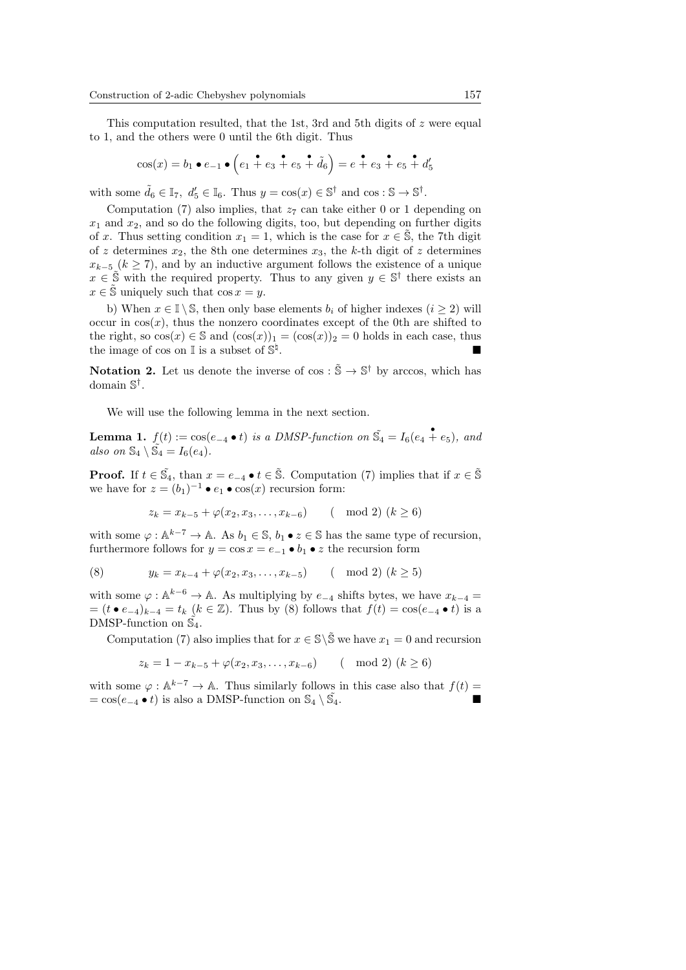This computation resulted, that the 1st, 3rd and 5th digits of  $z$  were equal to 1, and the others were 0 until the 6th digit. Thus

$$
\cos(x) = b_1 \bullet e_{-1} \bullet \left(e_1 \stackrel{\bullet}{+} e_3 \stackrel{\bullet}{+} e_5 \stackrel{\bullet}{+} \tilde{d}_6\right) = e \stackrel{\bullet}{+} e_3 \stackrel{\bullet}{+} e_5 \stackrel{\bullet}{+} d'_5
$$

with some  $\tilde{d}_6 \in \mathbb{I}_7$ ,  $d'_5 \in \mathbb{I}_6$ . Thus  $y = \cos(x) \in \mathbb{S}^{\dagger}$  and  $\cos : \mathbb{S} \to \mathbb{S}^{\dagger}$ .

Computation (7) also implies, that  $z_7$  can take either 0 or 1 depending on  $x_1$  and  $x_2$ , and so do the following digits, too, but depending on further digits of x. Thus setting condition  $x_1 = 1$ , which is the case for  $x \in \tilde{S}$ , the 7th digit of z determines  $x_2$ , the 8th one determines  $x_3$ , the k-th digit of z determines  $x_{k-5}$  ( $k \geq 7$ ), and by an inductive argument follows the existence of a unique  $x \in \tilde{S}$  with the required property. Thus to any given  $y \in S^{\dagger}$  there exists an  $x \in \tilde{S}$  uniquely such that  $\cos x = y$ .

b) When  $x \in \mathbb{I} \setminus \mathbb{S}$ , then only base elements  $b_i$  of higher indexes  $(i \geq 2)$  will occur in  $cos(x)$ , thus the nonzero coordinates except of the 0th are shifted to the right, so  $\cos(x) \in \mathbb{S}$  and  $(\cos(x))_1 = (\cos(x))_2 = 0$  holds in each case, thus the image of  $\cos$  on  $\mathbb I$  is a subset of  $\mathbb S^{\natural}$ .

**Notation 2.** Let us denote the inverse of  $\cos : \tilde{\mathbb{S}} \to \mathbb{S}^{\dagger}$  by arccos, which has domain S † .

We will use the following lemma in the next section.

**Lemma 1.**  $f(t) := \cos(e_{-4} \cdot t)$  is a DMSP-function on  $\tilde{S}_4 = I_6(e_4 + e_5)$ , and also on  $\mathbb{S}_4 \setminus \widetilde{\mathbb{S}_4} = I_6(e_4)$ .

**Proof.** If  $t \in \tilde{S}_4$ , than  $x = e_{-4} \bullet t \in \tilde{S}$ . Computation (7) implies that if  $x \in \tilde{S}$ we have for  $z = (b_1)^{-1} \bullet e_1 \bullet \cos(x)$  recursion form:

$$
z_k = x_{k-5} + \varphi(x_2, x_3, \dots, x_{k-6}) \qquad (\mod 2) \ (k \ge 6)
$$

with some  $\varphi : \mathbb{A}^{k-7} \to \mathbb{A}$ . As  $b_1 \in \mathbb{S}$ ,  $b_1 \bullet z \in \mathbb{S}$  has the same type of recursion, furthermore follows for  $y = \cos x = e_{-1} \cdot b_1 \cdot z$  the recursion form

(8) 
$$
y_k = x_{k-4} + \varphi(x_2, x_3, \dots, x_{k-5}) \quad (\text{mod } 2) (k \ge 5)
$$

with some  $\varphi : \mathbb{A}^{k-6} \to \mathbb{A}$ . As multiplying by  $e_{-4}$  shifts bytes, we have  $x_{k-4} =$  $=(t \bullet e_{-4})_{k-4} = t_k$   $(k \in \mathbb{Z})$ . Thus by (8) follows that  $f(t) = \cos(e_{-4} \bullet t)$  is a DMSP-function on  $\tilde{\mathbb{S}_4}$ .

Computation (7) also implies that for  $x \in \mathbb{S}\backslash \tilde{\mathbb{S}}$  we have  $x_1 = 0$  and recursion

$$
z_k = 1 - x_{k-5} + \varphi(x_2, x_3, \dots, x_{k-6}) \qquad (\mod 2) \ (k \ge 6)
$$

with some  $\varphi : \mathbb{A}^{k-7} \to \mathbb{A}$ . Thus similarly follows in this case also that  $f(t) =$  $= \cos(e_{-4} \bullet t)$  is also a DMSP-function on  $\mathbb{S}_4 \setminus \tilde{\mathbb{S}_4}$ .  $\overline{4}$ .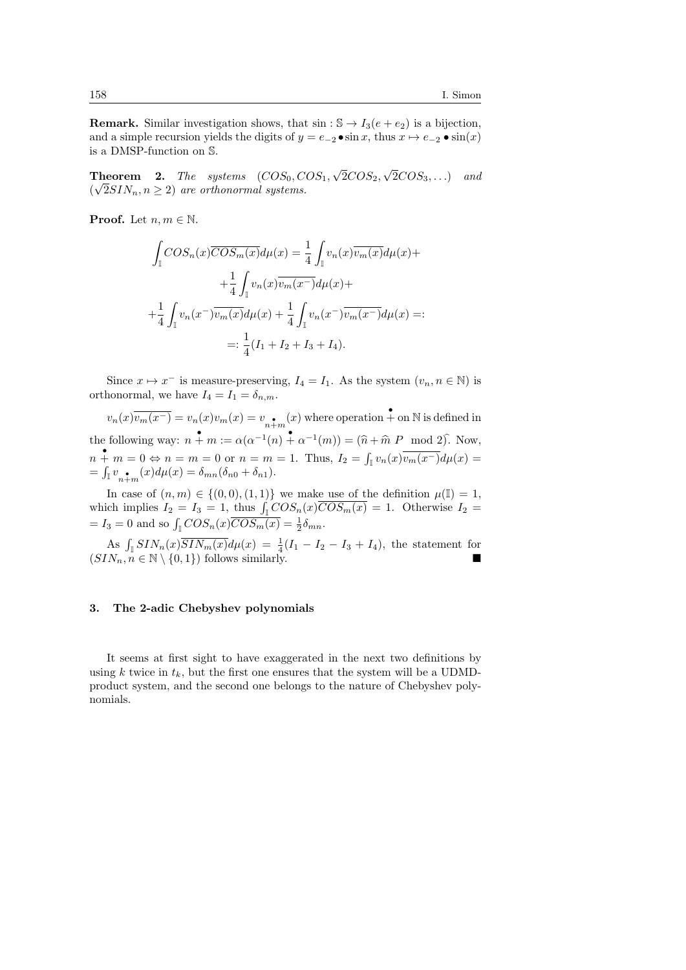**Remark.** Similar investigation shows, that  $\sin : \mathbb{S} \to I_3(e + e_2)$  is a bijection, and a simple recursion yields the digits of  $y = e_{-2} \cdot \sin x$ , thus  $x \mapsto e_{-2} \cdot \sin(x)$ is a DMSP-function on S.

**Theorem 2.** The systems  $(COS_0, COS_1,$ √  $2COS_2,$ √ **Theorem 2.** The systems  $(COS_0, COS_1, \sqrt{2}COS_2, \sqrt{2}COS_3, ...)$  and  $(\sqrt{2}SIN_n, n \geq 2)$  are orthonormal systems.

**Proof.** Let  $n, m \in \mathbb{N}$ .

$$
\int_{\mathbb{I}} \mathcal{COS}_n(x) \overline{\mathcal{COS}_m(x)} d\mu(x) = \frac{1}{4} \int_{\mathbb{I}} v_n(x) \overline{v_m(x)} d\mu(x) +
$$

$$
+ \frac{1}{4} \int_{\mathbb{I}} v_n(x) \overline{v_m(x^-)} d\mu(x) +
$$

$$
+ \frac{1}{4} \int_{\mathbb{I}} v_n(x^-) \overline{v_m(x)} d\mu(x) + \frac{1}{4} \int_{\mathbb{I}} v_n(x^-) \overline{v_m(x^-)} d\mu(x) =:
$$

$$
= : \frac{1}{4} (I_1 + I_2 + I_3 + I_4).
$$

Since  $x \mapsto x^-$  is measure-preserving,  $I_4 = I_1$ . As the system  $(v_n, n \in \mathbb{N})$  is orthonormal, we have  $I_4 = I_1 = \delta_{n,m}$ .

 $v_n(x)\overline{v_m(x^-)} = v_n(x)v_m(x) = v_{n+m}(x)$  where operation + on N is defined in the following way:  $n + m := \alpha(\alpha^{-1}(n) + \alpha^{-1}(m)) = (\widehat{n} + \widehat{m} \ P \mod 2)$ . Now,  $n + m = 0 \Leftrightarrow n = m = 0$  or  $n = m = 1$ . Thus,  $I_2 = \int_{\mathbb{I}} v_n(x) \overline{v_m(x^-)} d\mu(x) =$ =  $\int_{\mathbb{I}} v_{n+m}^{\bullet}(x) d\mu(x) = \delta_{mn}(\delta_{n0} + \delta_{n1}).$ 

In case of  $(n, m) \in \{(0, 0), (1, 1)\}\$  we make use of the definition  $\mu(\mathbb{I}) = 1$ , which implies  $I_2 = I_3 = 1$ , thus  $\int_{\mathbb{I}} COS_n(x) *COS_m(x)* = 1$ . Otherwise  $I_2 =$  $= I_3 = 0$  and so  $\int_{\mathbb{I}} COS_n(x) \overline{COS_m(x)} = \frac{1}{2} \delta_{mn}$ .

As  $\int_{\mathbb{I}} SIN_n(x)$  $\overline{SIN_m(x)}d\mu(x) = \frac{1}{4}(I_1 - I_2 - I_3 + I_4)$ , the statement for  $(SIN_n, n \in \mathbb{N} \setminus \{0,1\})$  follows similarly.

### 3. The 2-adic Chebyshev polynomials

It seems at first sight to have exaggerated in the next two definitions by using k twice in  $t_k$ , but the first one ensures that the system will be a UDMDproduct system, and the second one belongs to the nature of Chebyshev polynomials.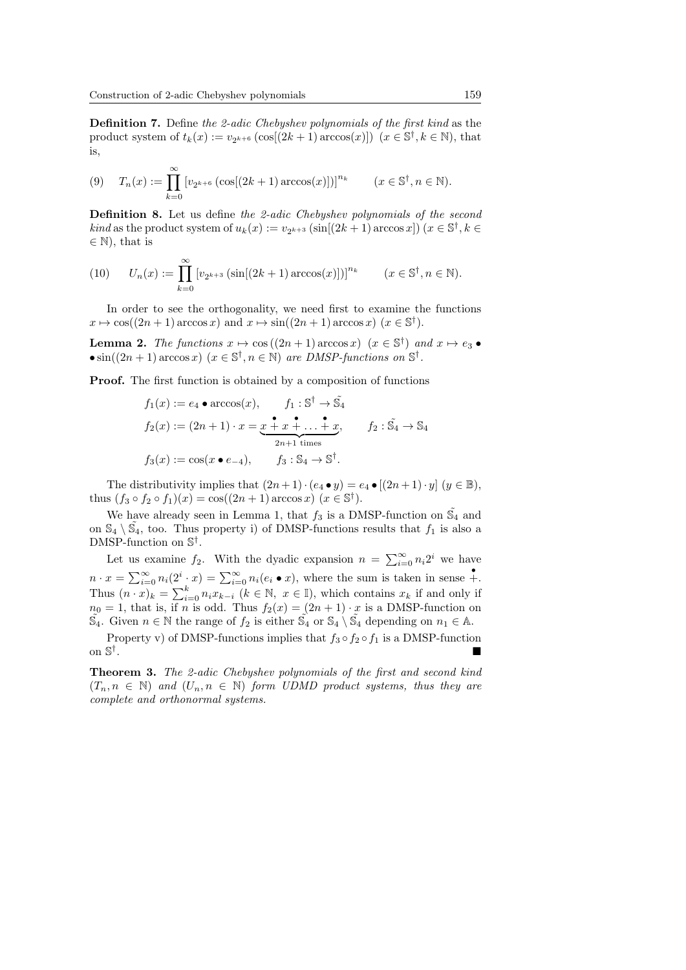Definition 7. Define the 2-adic Chebyshev polynomials of the first kind as the product system of  $t_k(x) := v_{2^{k+6}} (\cos[(2k+1)\arccos(x)])$   $(x \in \mathbb{S}^{\dagger}, k \in \mathbb{N})$ , that is,

$$
(9) \quad T_n(x) := \prod_{k=0}^{\infty} \left[ v_{2^{k+6}} \left( \cos[(2k+1)\arccos(x)] \right) \right]^{n_k} \qquad (x \in \mathbb{S}^{\dagger}, n \in \mathbb{N}).
$$

Definition 8. Let us define the 2-adic Chebyshev polynomials of the second *kind* as the product system of  $u_k(x) := v_{2^{k+3}} (\sin[(2k+1)\arccos x]) (x \in \mathbb{S}^{\dagger}, k \in$  $\in \mathbb{N}$ , that is

(10) 
$$
U_n(x) := \prod_{k=0}^{\infty} [v_{2^{k+3}}(\sin[(2k+1)\arccos(x)])]^{n_k} \qquad (x \in \mathbb{S}^{\dagger}, n \in \mathbb{N}).
$$

In order to see the orthogonality, we need first to examine the functions  $x \mapsto \cos((2n+1)\arccos x)$  and  $x \mapsto \sin((2n+1)\arccos x)$   $(x \in \mathbb{S}^{\dagger}).$ 

**Lemma 2.** The functions  $x \mapsto \cos((2n+1)\arccos x)$   $(x \in \mathbb{S}^{\dagger})$  and  $x \mapsto e_3 \bullet$ •  $\sin((2n+1)\arccos x)$   $(x \in \mathbb{S}^{\dagger}, n \in \mathbb{N})$  are DMSP-functions on  $\mathbb{S}^{\dagger}$ .

Proof. The first function is obtained by a composition of functions

$$
f_1(x) := e_4 \bullet \arccos(x), \qquad f_1: \mathbb{S}^{\dagger} \to \tilde{\mathbb{S}}_4
$$
  
\n
$$
f_2(x) := (2n+1) \cdot x = \underbrace{x \stackrel{\bullet}{\cdot} x \stackrel{\bullet}{\cdot} \dots \stackrel{\bullet}{\cdot} x}_{2n+1 \text{ times}}, \qquad f_2: \tilde{\mathbb{S}}_4 \to \mathbb{S}_4
$$
  
\n
$$
f_3(x) := \cos(x \bullet e_{-4}), \qquad f_3: \mathbb{S}_4 \to \mathbb{S}^{\dagger}.
$$

The distributivity implies that  $(2n+1)\cdot(e_4\bullet y) = e_4\bullet [(2n+1)\cdot y]$   $(y \in \mathbb{B}),$ thus  $(f_3 \circ f_2 \circ f_1)(x) = \cos((2n+1)\arccos x)(x \in \mathbb{S}^{\dagger}).$ 

We have already seen in Lemma 1, that  $f_3$  is a DMSP-function on  $\tilde{S}_4$  and on  $\mathbb{S}_4 \setminus \tilde{\mathbb{S}}_4$ , too. Thus property i) of DMSP-functions results that  $f_1$  is also a DMSP-function on  $\mathbb{S}^{\dagger}$ .

Let us examine  $f_2$ . With the dyadic expansion  $n = \sum_{i=0}^{\infty} n_i 2^i$  we have  $n \cdot x = \sum_{i=0}^{\infty} n_i(2^i \cdot x) = \sum_{i=0}^{\infty} n_i(e_i \bullet x)$ , where the sum is taken in sense  $\stackrel{\bullet}{+}$ . Thus  $(n \cdot x)_k = \sum_{i=0}^k n_i x_{k-i}$   $(k \in \mathbb{N}, x \in \mathbb{I})$ , which contains  $x_k$  if and only if  $n_0 = 1$ , that is, if n is odd. Thus  $f_2(x) = (2n + 1) \cdot x$  is a DMSP-function on  $\widetilde{S}_4$ . Given  $n \in \mathbb{N}$  the range of  $f_2$  is either  $\widetilde{S}_4$  or  $\mathbb{S}_4 \setminus \widetilde{S}_4$  depending on  $n_1 \in \mathbb{A}$ .

Property v) of DMSP-functions implies that  $f_3 \circ f_2 \circ f_1$  is a DMSP-function on S † . In the contract of the contract of the contract of the contract of the contract of the contract of the contract of

Theorem 3. The 2-adic Chebyshev polynomials of the first and second kind  $(T_n, n \in \mathbb{N})$  and  $(U_n, n \in \mathbb{N})$  form UDMD product systems, thus they are complete and orthonormal systems.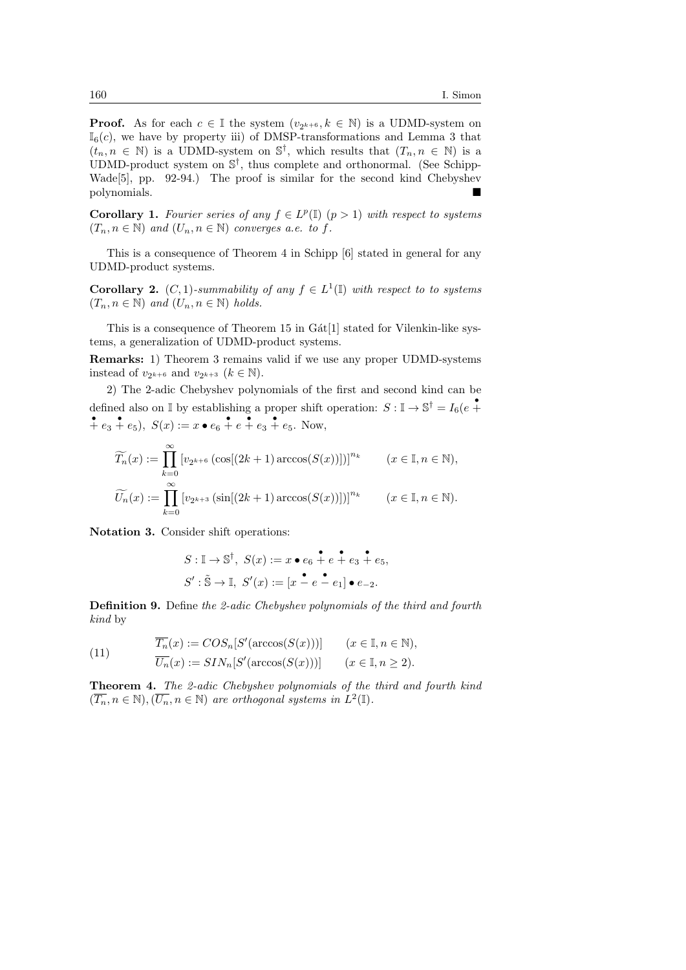**Proof.** As for each  $c \in \mathbb{I}$  the system  $(v_{2^{k+6}}, k \in \mathbb{N})$  is a UDMD-system on  $\mathbb{I}_{6}(c)$ , we have by property iii) of DMSP-transformations and Lemma 3 that  $(t_n, n \in \mathbb{N})$  is a UDMD-system on  $\mathbb{S}^{\dagger}$ , which results that  $(T_n, n \in \mathbb{N})$  is a UDMD-product system on  $\mathbb{S}^{\dagger}$ , thus complete and orthonormal. (See Schipp-Wade[5], pp. 92-94.) The proof is similar for the second kind Chebyshev polynomials.

**Corollary 1.** Fourier series of any  $f \in L^p(\mathbb{I})$   $(p > 1)$  with respect to systems  $(T_n, n \in \mathbb{N})$  and  $(U_n, n \in \mathbb{N})$  converges a.e. to f.

This is a consequence of Theorem 4 in Schipp [6] stated in general for any UDMD-product systems.

**Corollary 2.** (C, 1)-summability of any  $f \in L^1(\mathbb{I})$  with respect to to systems  $(T_n, n \in \mathbb{N})$  and  $(U_n, n \in \mathbb{N})$  holds.

This is a consequence of Theorem  $15$  in  $G\text{at}[1]$  stated for Vilenkin-like systems, a generalization of UDMD-product systems.

Remarks: 1) Theorem 3 remains valid if we use any proper UDMD-systems instead of  $v_{2^{k+6}}$  and  $v_{2^{k+3}}$   $(k \in \mathbb{N})$ .

2) The 2-adic Chebyshev polynomials of the first and second kind can be defined also on  $\mathbb{I}$  by establishing a proper shift operation:  $S: \mathbb{I} \to \mathbb{S}^{\dagger} = I_6(e^+ \cdot$ •  $+ e_3 + e_5$ ,  $S(x) := x \cdot e_6 + e_7 + e_3 + e_5$ . Now,

$$
\widetilde{T_n}(x) := \prod_{k=0}^{\infty} \left[ v_{2^{k+6}} \left( \cos[(2k+1)\arccos(S(x))] \right) \right]^{n_k} \qquad (x \in \mathbb{I}, n \in \mathbb{N}),
$$

$$
\widetilde{U_n}(x) := \prod_{k=0}^{\infty} \left[ v_{2^{k+3}} \left( \sin[(2k+1)\arccos(S(x))] \right) \right]^{n_k} \qquad (x \in \mathbb{I}, n \in \mathbb{N}).
$$

Notation 3. Consider shift operations:

$$
S: \mathbb{I} \to \mathbb{S}^{\dagger}, \ S(x) := x \bullet e_6 \stackrel{\bullet}{+} e + e_3 \stackrel{\bullet}{+} e_5,
$$
  

$$
S': \tilde{\mathbb{S}} \to \mathbb{I}, \ S'(x) := [x \stackrel{\bullet}{-} e - e_1] \bullet e_{-2}.
$$

Definition 9. Define the 2-adic Chebyshev polynomials of the third and fourth kind by

(11) 
$$
\overline{T_n}(x) := COS_n[S'(\arccos(S(x)))] \qquad (x \in \mathbb{I}, n \in \mathbb{N}),
$$

$$
\overline{U_n}(x) := SIN_n[S'(\arccos(S(x)))] \qquad (x \in \mathbb{I}, n \ge 2).
$$

Theorem 4. The 2-adic Chebyshev polynomials of the third and fourth kind  $(\overline{T_n}, n \in \mathbb{N}), (\overline{U_n}, n \in \mathbb{N})$  are orthogonal systems in  $L^2(\mathbb{I}).$